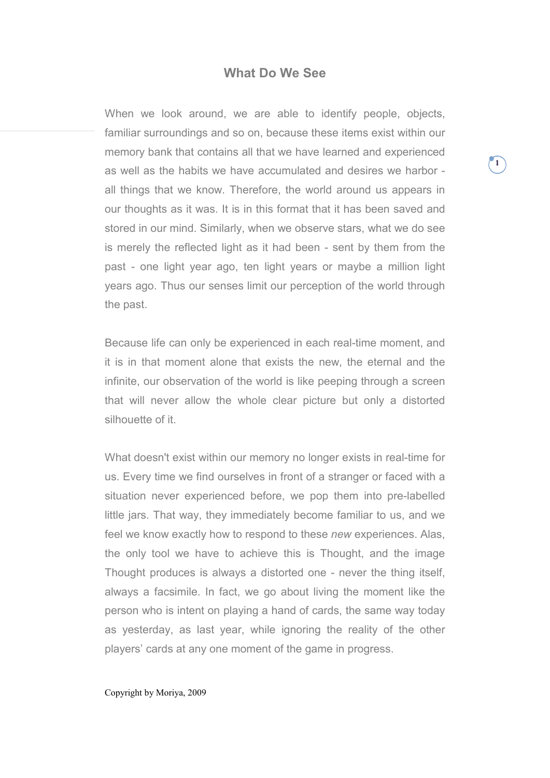# **What Do We See**

When we look around, we are able to identify people, objects, familiar surroundings and so on, because these items exist within our memory bank that contains all that we have learned and experienced as well as the habits we have accumulated and desires we harbor all things that we know. Therefore, the world around us appears in our thoughts as it was. It is in this format that it has been saved and stored in our mind. Similarly, when we observe stars, what we do see is merely the reflected light as it had been - sent by them from the past - one light year ago, ten light years or maybe a million light years ago. Thus our senses limit our perception of the world through the past.

Because life can only be experienced in each real-time moment, and it is in that moment alone that exists the new, the eternal and the infinite, our observation of the world is like peeping through a screen that will never allow the whole clear picture but only a distorted silhouette of it.

What doesn't exist within our memory no longer exists in real-time for us. Every time we find ourselves in front of a stranger or faced with a situation never experienced before, we pop them into pre-labelled little jars. That way, they immediately become familiar to us, and we feel we know exactly how to respond to these *new* experiences. Alas, the only tool we have to achieve this is Thought, and the image Thought produces is always a distorted one - never the thing itself, always a facsimile. In fact, we go about living the moment like the person who is intent on playing a hand of cards, the same way today as yesterday, as last year, while ignoring the reality of the other players' cards at any one moment of the game in progress.

#### Copyright by Moriya, 2009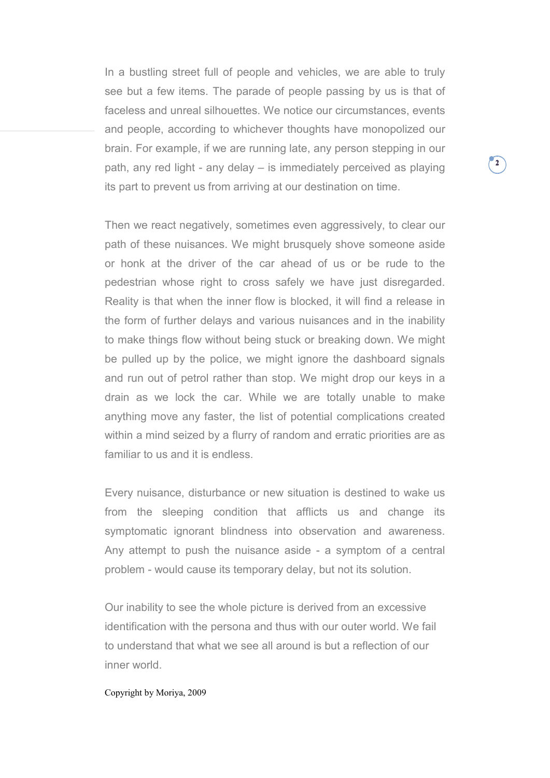In a bustling street full of people and vehicles, we are able to truly see but a few items. The parade of people passing by us is that of faceless and unreal silhouettes. We notice our circumstances, events and people, according to whichever thoughts have monopolized our brain. For example, if we are running late, any person stepping in our path, any red light - any delay – is immediately perceived as playing its part to prevent us from arriving at our destination on time.

Then we react negatively, sometimes even aggressively, to clear our path of these nuisances. We might brusquely shove someone aside or honk at the driver of the car ahead of us or be rude to the pedestrian whose right to cross safely we have just disregarded. Reality is that when the inner flow is blocked, it will find a release in the form of further delays and various nuisances and in the inability to make things flow without being stuck or breaking down. We might be pulled up by the police, we might ignore the dashboard signals and run out of petrol rather than stop. We might drop our keys in a drain as we lock the car. While we are totally unable to make anything move any faster, the list of potential complications created within a mind seized by a flurry of random and erratic priorities are as familiar to us and it is endless.

Every nuisance, disturbance or new situation is destined to wake us from the sleeping condition that afflicts us and change its symptomatic ignorant blindness into observation and awareness. Any attempt to push the nuisance aside - a symptom of a central problem - would cause its temporary delay, but not its solution.

Our inability to see the whole picture is derived from an excessive identification with the persona and thus with our outer world. We fail to understand that what we see all around is but a reflection of our inner world.

# Copyright by Moriya, 2009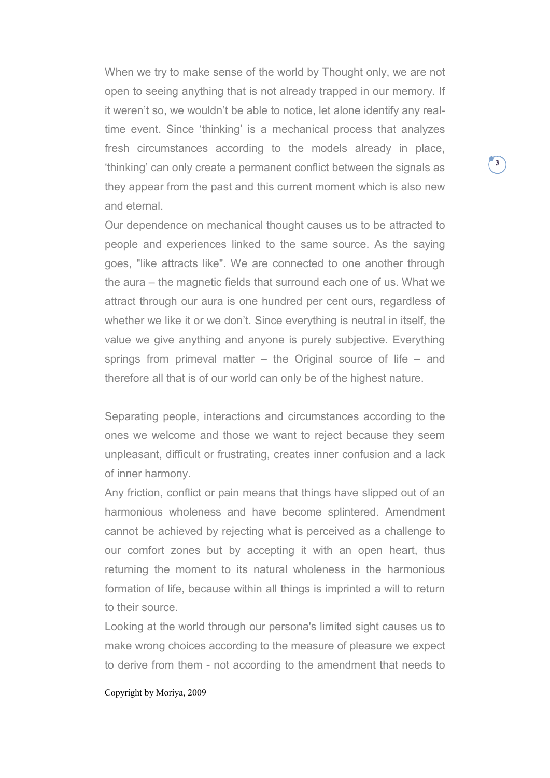When we try to make sense of the world by Thought only, we are not open to seeing anything that is not already trapped in our memory. If it weren't so, we wouldn't be able to notice, let alone identify any realtime event. Since 'thinking' is a mechanical process that analyzes fresh circumstances according to the models already in place, 'thinking' can only create a permanent conflict between the signals as they appear from the past and this current moment which is also new and eternal.

Our dependence on mechanical thought causes us to be attracted to people and experiences linked to the same source. As the saying goes, "like attracts like". We are connected to one another through the aura – the magnetic fields that surround each one of us. What we attract through our aura is one hundred per cent ours, regardless of whether we like it or we don't. Since everything is neutral in itself, the value we give anything and anyone is purely subjective. Everything springs from primeval matter – the Original source of life – and therefore all that is of our world can only be of the highest nature.

Separating people, interactions and circumstances according to the ones we welcome and those we want to reject because they seem unpleasant, difficult or frustrating, creates inner confusion and a lack of inner harmony.

Any friction, conflict or pain means that things have slipped out of an harmonious wholeness and have become splintered. Amendment cannot be achieved by rejecting what is perceived as a challenge to our comfort zones but by accepting it with an open heart, thus returning the moment to its natural wholeness in the harmonious formation of life, because within all things is imprinted a will to return to their source.

Looking at the world through our persona's limited sight causes us to make wrong choices according to the measure of pleasure we expect to derive from them - not according to the amendment that needs to

# Copyright by Moriya, 2009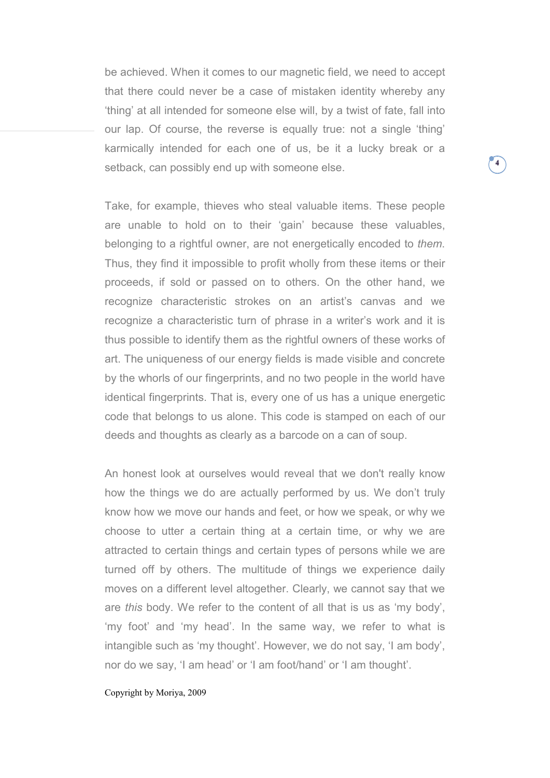be achieved. When it comes to our magnetic field, we need to accept that there could never be a case of mistaken identity whereby any 'thing' at all intended for someone else will, by a twist of fate, fall into our lap. Of course, the reverse is equally true: not a single 'thing' karmically intended for each one of us, be it a lucky break or a setback, can possibly end up with someone else.

Take, for example, thieves who steal valuable items. These people are unable to hold on to their 'gain' because these valuables, belonging to a rightful owner, are not energetically encoded to *them*. Thus, they find it impossible to profit wholly from these items or their proceeds, if sold or passed on to others. On the other hand, we recognize characteristic strokes on an artist's canvas and we recognize a characteristic turn of phrase in a writer's work and it is thus possible to identify them as the rightful owners of these works of art. The uniqueness of our energy fields is made visible and concrete by the whorls of our fingerprints, and no two people in the world have identical fingerprints. That is, every one of us has a unique energetic code that belongs to us alone. This code is stamped on each of our deeds and thoughts as clearly as a barcode on a can of soup.

An honest look at ourselves would reveal that we don't really know how the things we do are actually performed by us. We don't truly know how we move our hands and feet, or how we speak, or why we choose to utter a certain thing at a certain time, or why we are attracted to certain things and certain types of persons while we are turned off by others. The multitude of things we experience daily moves on a different level altogether. Clearly, we cannot say that we are *this* body. We refer to the content of all that is us as 'my body', 'my foot' and 'my head'. In the same way, we refer to what is intangible such as 'my thought'. However, we do not say, 'I am body', nor do we say, 'I am head' or 'I am foot/hand' or 'I am thought'.

# Copyright by Moriya, 2009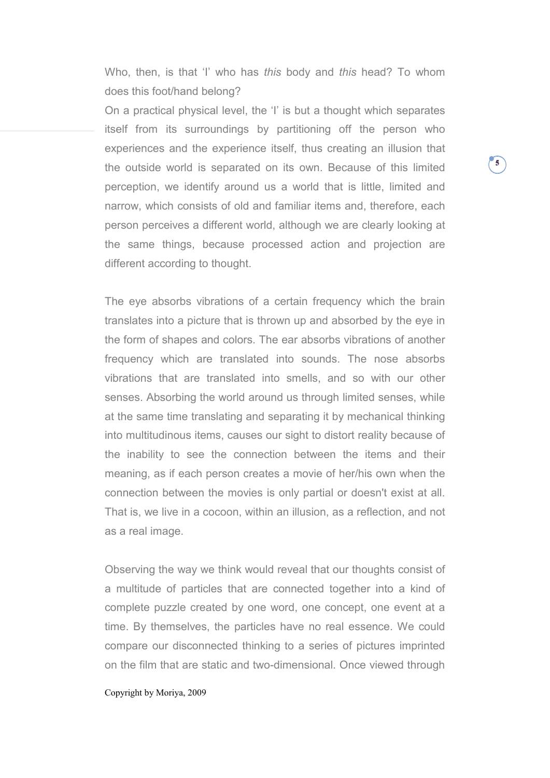Who, then, is that 'I' who has *this* body and *this* head? To whom does this foot/hand belong?

On a practical physical level, the 'I' is but a thought which separates itself from its surroundings by partitioning off the person who experiences and the experience itself, thus creating an illusion that the outside world is separated on its own. Because of this limited perception, we identify around us a world that is little, limited and narrow, which consists of old and familiar items and, therefore, each person perceives a different world, although we are clearly looking at the same things, because processed action and projection are different according to thought.

The eye absorbs vibrations of a certain frequency which the brain translates into a picture that is thrown up and absorbed by the eye in the form of shapes and colors. The ear absorbs vibrations of another frequency which are translated into sounds. The nose absorbs vibrations that are translated into smells, and so with our other senses. Absorbing the world around us through limited senses, while at the same time translating and separating it by mechanical thinking into multitudinous items, causes our sight to distort reality because of the inability to see the connection between the items and their meaning, as if each person creates a movie of her/his own when the connection between the movies is only partial or doesn't exist at all. That is, we live in a cocoon, within an illusion, as a reflection, and not as a real image.

Observing the way we think would reveal that our thoughts consist of a multitude of particles that are connected together into a kind of complete puzzle created by one word, one concept, one event at a time. By themselves, the particles have no real essence. We could compare our disconnected thinking to a series of pictures imprinted on the film that are static and two-dimensional. Once viewed through

# Copyright by Moriya, 2009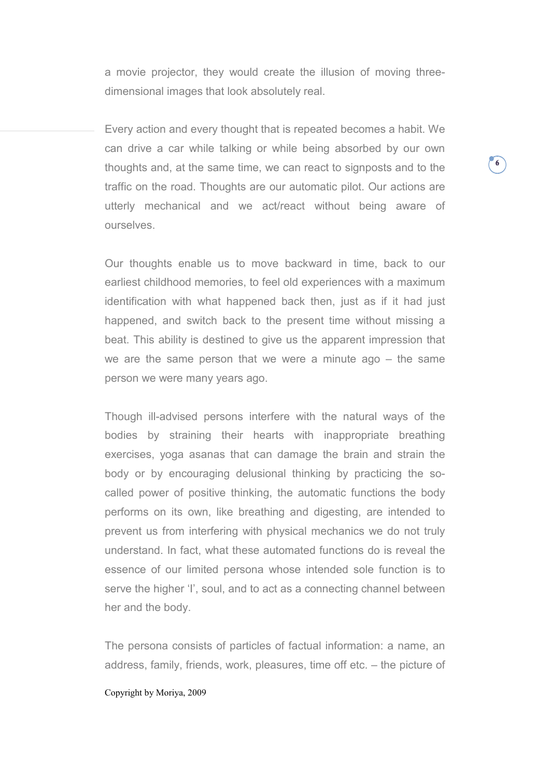a movie projector, they would create the illusion of moving threedimensional images that look absolutely real.

Every action and every thought that is repeated becomes a habit. We can drive a car while talking or while being absorbed by our own thoughts and, at the same time, we can react to signposts and to the traffic on the road. Thoughts are our automatic pilot. Our actions are utterly mechanical and we act/react without being aware of ourselves.

Our thoughts enable us to move backward in time, back to our earliest childhood memories, to feel old experiences with a maximum identification with what happened back then, just as if it had just happened, and switch back to the present time without missing a beat. This ability is destined to give us the apparent impression that we are the same person that we were a minute ago – the same person we were many years ago.

Though ill-advised persons interfere with the natural ways of the bodies by straining their hearts with inappropriate breathing exercises, yoga asanas that can damage the brain and strain the body or by encouraging delusional thinking by practicing the socalled power of positive thinking, the automatic functions the body performs on its own, like breathing and digesting, are intended to prevent us from interfering with physical mechanics we do not truly understand. In fact, what these automated functions do is reveal the essence of our limited persona whose intended sole function is to serve the higher 'I', soul, and to act as a connecting channel between her and the body.

The persona consists of particles of factual information: a name, an address, family, friends, work, pleasures, time off etc. – the picture of

# Copyright by Moriya, 2009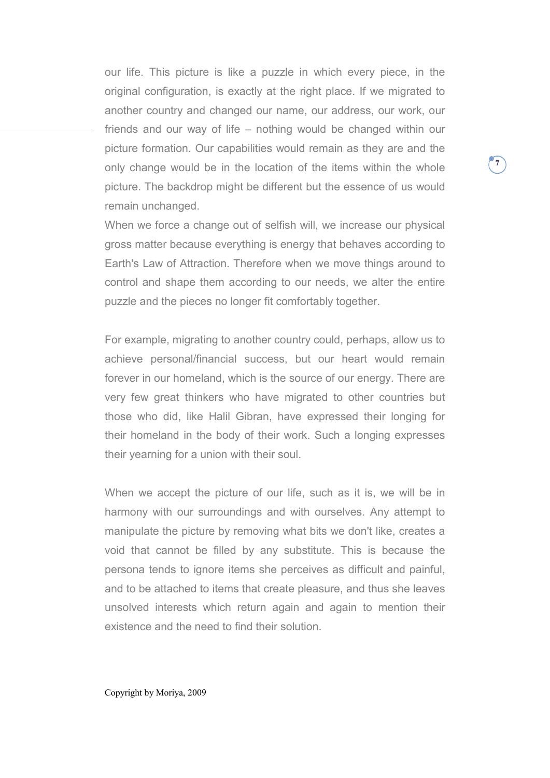our life. This picture is like a puzzle in which every piece, in the original configuration, is exactly at the right place. If we migrated to another country and changed our name, our address, our work, our friends and our way of life – nothing would be changed within our picture formation. Our capabilities would remain as they are and the only change would be in the location of the items within the whole picture. The backdrop might be different but the essence of us would remain unchanged.

**7**

When we force a change out of selfish will, we increase our physical gross matter because everything is energy that behaves according to Earth's Law of Attraction. Therefore when we move things around to control and shape them according to our needs, we alter the entire puzzle and the pieces no longer fit comfortably together.

For example, migrating to another country could, perhaps, allow us to achieve personal/financial success, but our heart would remain forever in our homeland, which is the source of our energy. There are very few great thinkers who have migrated to other countries but those who did, like Halil Gibran, have expressed their longing for their homeland in the body of their work. Such a longing expresses their yearning for a union with their soul.

When we accept the picture of our life, such as it is, we will be in harmony with our surroundings and with ourselves. Any attempt to manipulate the picture by removing what bits we don't like, creates a void that cannot be filled by any substitute. This is because the persona tends to ignore items she perceives as difficult and painful, and to be attached to items that create pleasure, and thus she leaves unsolved interests which return again and again to mention their existence and the need to find their solution.

Copyright by Moriya, 2009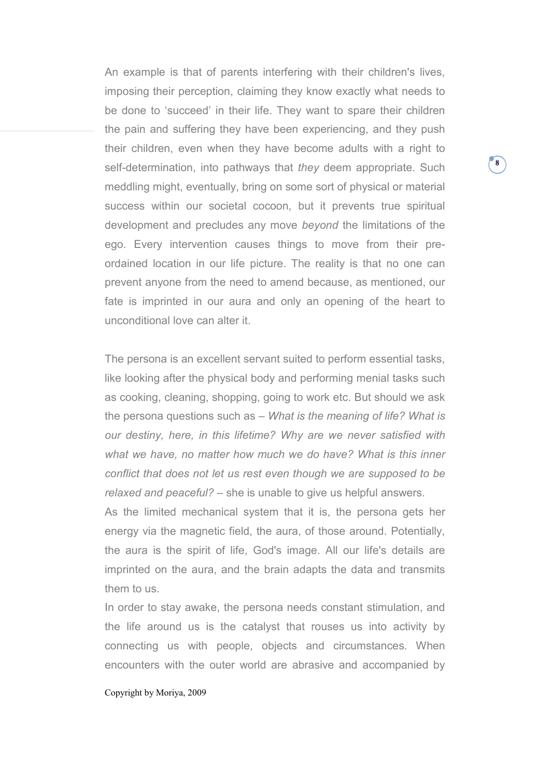An example is that of parents interfering with their children's lives, imposing their perception, claiming they know exactly what needs to be done to 'succeed' in their life. They want to spare their children the pain and suffering they have been experiencing, and they push their children, even when they have become adults with a right to self-determination, into pathways that *they* deem appropriate. Such meddling might, eventually, bring on some sort of physical or material success within our societal cocoon, but it prevents true spiritual development and precludes any move *beyond* the limitations of the ego. Every intervention causes things to move from their preordained location in our life picture. The reality is that no one can prevent anyone from the need to amend because, as mentioned, our fate is imprinted in our aura and only an opening of the heart to unconditional love can alter it.

The persona is an excellent servant suited to perform essential tasks, like looking after the physical body and performing menial tasks such as cooking, cleaning, shopping, going to work etc. But should we ask the persona questions such as – *What is the meaning of life? What is our destiny, here, in this lifetime? Why are we never satisfied with what we have, no matter how much we do have? What is this inner conflict that does not let us rest even though we are supposed to be relaxed and peaceful? –* she is unable to give us helpful answers.

As the limited mechanical system that it is, the persona gets her energy via the magnetic field, the aura, of those around. Potentially, the aura is the spirit of life, God's image. All our life's details are imprinted on the aura, and the brain adapts the data and transmits them to us.

In order to stay awake, the persona needs constant stimulation, and the life around us is the catalyst that rouses us into activity by connecting us with people, objects and circumstances. When encounters with the outer world are abrasive and accompanied by

### Copyright by Moriya, 2009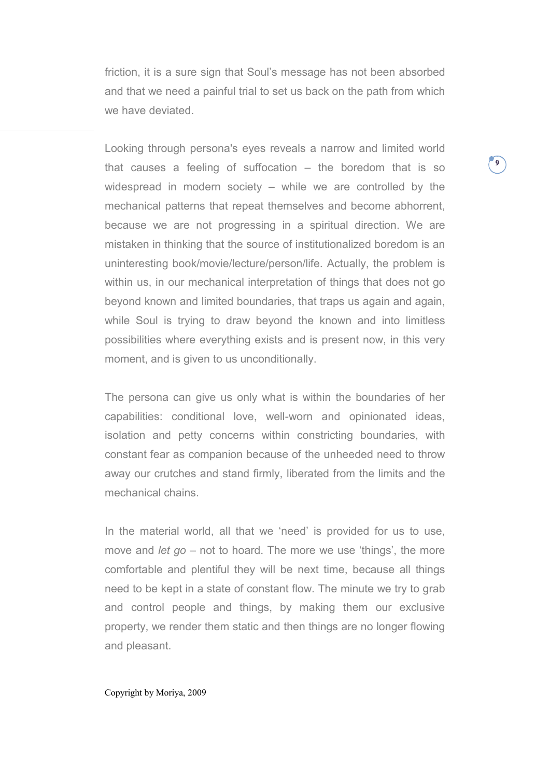friction, it is a sure sign that Soul's message has not been absorbed and that we need a painful trial to set us back on the path from which we have deviated.

**9**

Looking through persona's eyes reveals a narrow and limited world that causes a feeling of suffocation – the boredom that is so widespread in modern society – while we are controlled by the mechanical patterns that repeat themselves and become abhorrent, because we are not progressing in a spiritual direction. We are mistaken in thinking that the source of institutionalized boredom is an uninteresting book/movie/lecture/person/life. Actually, the problem is within us, in our mechanical interpretation of things that does not go beyond known and limited boundaries, that traps us again and again, while Soul is trying to draw beyond the known and into limitless possibilities where everything exists and is present now, in this very moment, and is given to us unconditionally.

The persona can give us only what is within the boundaries of her capabilities: conditional love, well-worn and opinionated ideas, isolation and petty concerns within constricting boundaries, with constant fear as companion because of the unheeded need to throw away our crutches and stand firmly, liberated from the limits and the mechanical chains.

In the material world, all that we 'need' is provided for us to use, move and *let go* – not to hoard. The more we use 'things', the more comfortable and plentiful they will be next time, because all things need to be kept in a state of constant flow. The minute we try to grab and control people and things, by making them our exclusive property, we render them static and then things are no longer flowing and pleasant.

Copyright by Moriya, 2009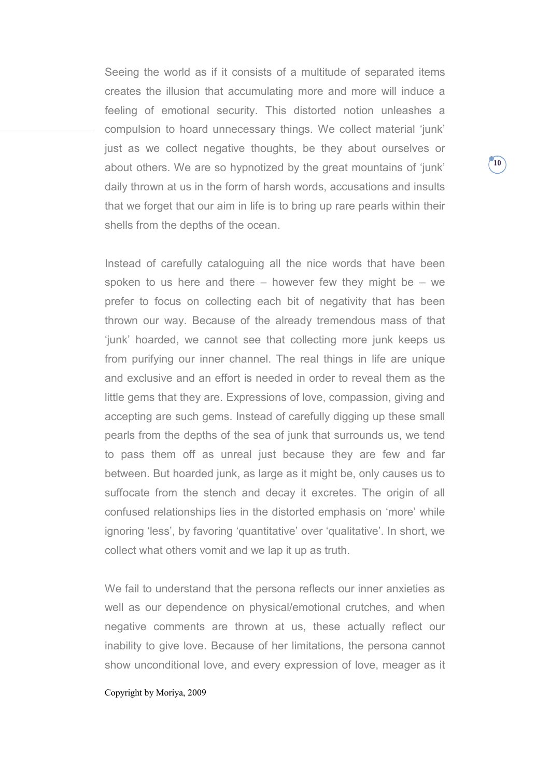Seeing the world as if it consists of a multitude of separated items creates the illusion that accumulating more and more will induce a feeling of emotional security. This distorted notion unleashes a compulsion to hoard unnecessary things. We collect material 'junk' just as we collect negative thoughts, be they about ourselves or about others. We are so hypnotized by the great mountains of 'junk' daily thrown at us in the form of harsh words, accusations and insults that we forget that our aim in life is to bring up rare pearls within their shells from the depths of the ocean.

Instead of carefully cataloguing all the nice words that have been spoken to us here and there  $-$  however few they might be  $-$  we prefer to focus on collecting each bit of negativity that has been thrown our way. Because of the already tremendous mass of that 'junk' hoarded, we cannot see that collecting more junk keeps us from purifying our inner channel. The real things in life are unique and exclusive and an effort is needed in order to reveal them as the little gems that they are. Expressions of love, compassion, giving and accepting are such gems. Instead of carefully digging up these small pearls from the depths of the sea of junk that surrounds us, we tend to pass them off as unreal just because they are few and far between. But hoarded junk, as large as it might be, only causes us to suffocate from the stench and decay it excretes. The origin of all confused relationships lies in the distorted emphasis on 'more' while ignoring 'less', by favoring 'quantitative' over 'qualitative'. In short, we collect what others vomit and we lap it up as truth.

We fail to understand that the persona reflects our inner anxieties as well as our dependence on physical/emotional crutches, and when negative comments are thrown at us, these actually reflect our inability to give love. Because of her limitations, the persona cannot show unconditional love, and every expression of love, meager as it

# Copyright by Moriya, 2009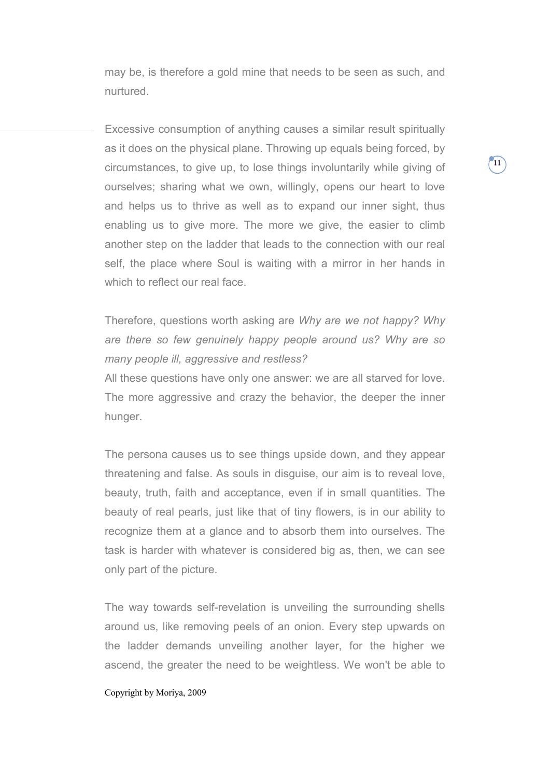may be, is therefore a gold mine that needs to be seen as such, and nurtured.

Excessive consumption of anything causes a similar result spiritually as it does on the physical plane. Throwing up equals being forced, by circumstances, to give up, to lose things involuntarily while giving of ourselves; sharing what we own, willingly, opens our heart to love and helps us to thrive as well as to expand our inner sight, thus enabling us to give more. The more we give, the easier to climb another step on the ladder that leads to the connection with our real self, the place where Soul is waiting with a mirror in her hands in which to reflect our real face.

Therefore, questions worth asking are *Why are we not happy? Why are there so few genuinely happy people around us? Why are so many people ill, aggressive and restless?* 

All these questions have only one answer: we are all starved for love. The more aggressive and crazy the behavior, the deeper the inner hunger.

The persona causes us to see things upside down, and they appear threatening and false. As souls in disguise, our aim is to reveal love, beauty, truth, faith and acceptance, even if in small quantities. The beauty of real pearls, just like that of tiny flowers, is in our ability to recognize them at a glance and to absorb them into ourselves. The task is harder with whatever is considered big as, then, we can see only part of the picture.

The way towards self-revelation is unveiling the surrounding shells around us, like removing peels of an onion. Every step upwards on the ladder demands unveiling another layer, for the higher we ascend, the greater the need to be weightless. We won't be able to

# Copyright by Moriya, 2009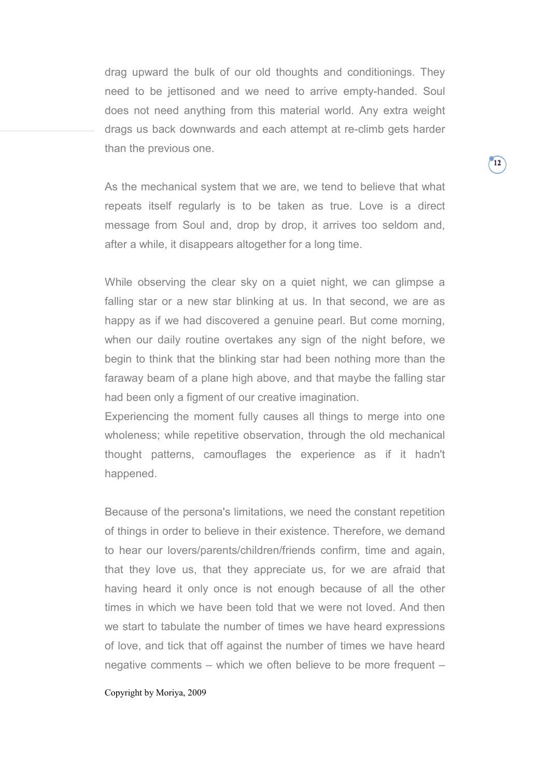drag upward the bulk of our old thoughts and conditionings. They need to be jettisoned and we need to arrive empty-handed. Soul does not need anything from this material world. Any extra weight drags us back downwards and each attempt at re-climb gets harder than the previous one.

As the mechanical system that we are, we tend to believe that what repeats itself regularly is to be taken as true. Love is a direct message from Soul and, drop by drop, it arrives too seldom and, after a while, it disappears altogether for a long time.

While observing the clear sky on a quiet night, we can glimpse a falling star or a new star blinking at us. In that second, we are as happy as if we had discovered a genuine pearl. But come morning, when our daily routine overtakes any sign of the night before, we begin to think that the blinking star had been nothing more than the faraway beam of a plane high above, and that maybe the falling star had been only a figment of our creative imagination.

Experiencing the moment fully causes all things to merge into one wholeness; while repetitive observation, through the old mechanical thought patterns, camouflages the experience as if it hadn't happened.

Because of the persona's limitations, we need the constant repetition of things in order to believe in their existence. Therefore, we demand to hear our lovers/parents/children/friends confirm, time and again, that they love us, that they appreciate us, for we are afraid that having heard it only once is not enough because of all the other times in which we have been told that we were not loved. And then we start to tabulate the number of times we have heard expressions of love, and tick that off against the number of times we have heard negative comments – which we often believe to be more frequent –

### Copyright by Moriya, 2009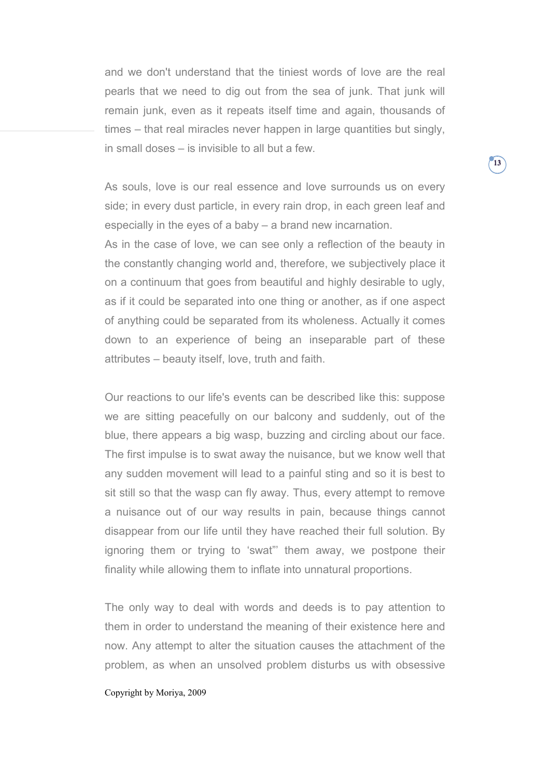and we don't understand that the tiniest words of love are the real pearls that we need to dig out from the sea of junk. That junk will remain junk, even as it repeats itself time and again, thousands of times – that real miracles never happen in large quantities but singly, in small doses – is invisible to all but a few.

As souls, love is our real essence and love surrounds us on every side; in every dust particle, in every rain drop, in each green leaf and especially in the eyes of a baby – a brand new incarnation.

As in the case of love, we can see only a reflection of the beauty in the constantly changing world and, therefore, we subjectively place it on a continuum that goes from beautiful and highly desirable to ugly, as if it could be separated into one thing or another, as if one aspect of anything could be separated from its wholeness. Actually it comes down to an experience of being an inseparable part of these attributes – beauty itself, love, truth and faith.

Our reactions to our life's events can be described like this: suppose we are sitting peacefully on our balcony and suddenly, out of the blue, there appears a big wasp, buzzing and circling about our face. The first impulse is to swat away the nuisance, but we know well that any sudden movement will lead to a painful sting and so it is best to sit still so that the wasp can fly away. Thus, every attempt to remove a nuisance out of our way results in pain, because things cannot disappear from our life until they have reached their full solution. By ignoring them or trying to 'swat"' them away, we postpone their finality while allowing them to inflate into unnatural proportions.

The only way to deal with words and deeds is to pay attention to them in order to understand the meaning of their existence here and now. Any attempt to alter the situation causes the attachment of the problem, as when an unsolved problem disturbs us with obsessive

# Copyright by Moriya, 2009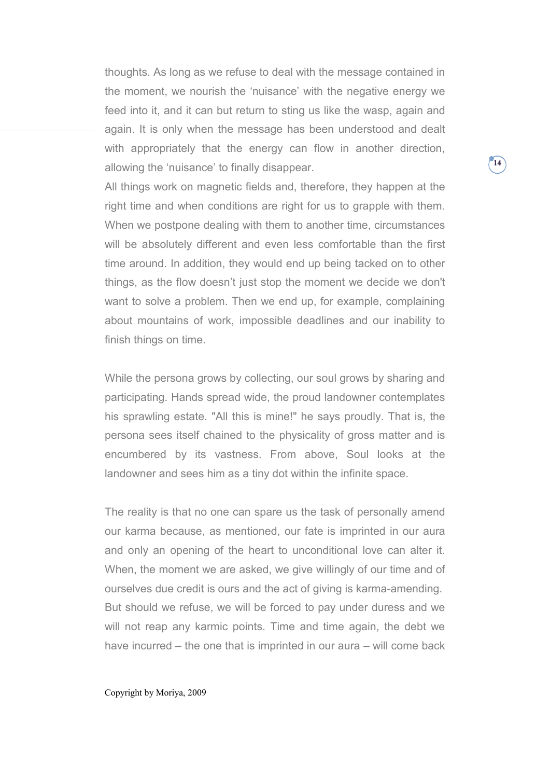thoughts. As long as we refuse to deal with the message contained in the moment, we nourish the 'nuisance' with the negative energy we feed into it, and it can but return to sting us like the wasp, again and again. It is only when the message has been understood and dealt with appropriately that the energy can flow in another direction, allowing the 'nuisance' to finally disappear.

All things work on magnetic fields and, therefore, they happen at the right time and when conditions are right for us to grapple with them. When we postpone dealing with them to another time, circumstances will be absolutely different and even less comfortable than the first time around. In addition, they would end up being tacked on to other things, as the flow doesn't just stop the moment we decide we don't want to solve a problem. Then we end up, for example, complaining about mountains of work, impossible deadlines and our inability to finish things on time.

While the persona grows by collecting, our soul grows by sharing and participating. Hands spread wide, the proud landowner contemplates his sprawling estate. "All this is mine!" he says proudly. That is, the persona sees itself chained to the physicality of gross matter and is encumbered by its vastness. From above, Soul looks at the landowner and sees him as a tiny dot within the infinite space.

The reality is that no one can spare us the task of personally amend our karma because, as mentioned, our fate is imprinted in our aura and only an opening of the heart to unconditional love can alter it. When, the moment we are asked, we give willingly of our time and of ourselves due credit is ours and the act of giving is karma-amending. But should we refuse, we will be forced to pay under duress and we will not reap any karmic points. Time and time again, the debt we have incurred – the one that is imprinted in our aura – will come back

Copyright by Moriya, 2009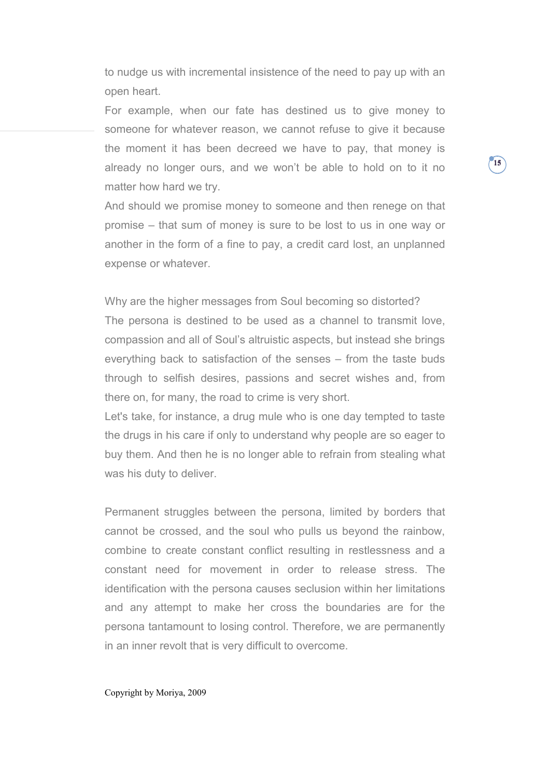to nudge us with incremental insistence of the need to pay up with an open heart.

For example, when our fate has destined us to give money to someone for whatever reason, we cannot refuse to give it because the moment it has been decreed we have to pay, that money is already no longer ours, and we won't be able to hold on to it no matter how hard we try.

And should we promise money to someone and then renege on that promise – that sum of money is sure to be lost to us in one way or another in the form of a fine to pay, a credit card lost, an unplanned expense or whatever.

Why are the higher messages from Soul becoming so distorted? The persona is destined to be used as a channel to transmit love, compassion and all of Soul's altruistic aspects, but instead she brings everything back to satisfaction of the senses – from the taste buds through to selfish desires, passions and secret wishes and, from there on, for many, the road to crime is very short.

Let's take, for instance, a drug mule who is one day tempted to taste the drugs in his care if only to understand why people are so eager to buy them. And then he is no longer able to refrain from stealing what was his duty to deliver.

Permanent struggles between the persona, limited by borders that cannot be crossed, and the soul who pulls us beyond the rainbow, combine to create constant conflict resulting in restlessness and a constant need for movement in order to release stress. The identification with the persona causes seclusion within her limitations and any attempt to make her cross the boundaries are for the persona tantamount to losing control. Therefore, we are permanently in an inner revolt that is very difficult to overcome.

#### Copyright by Moriya, 2009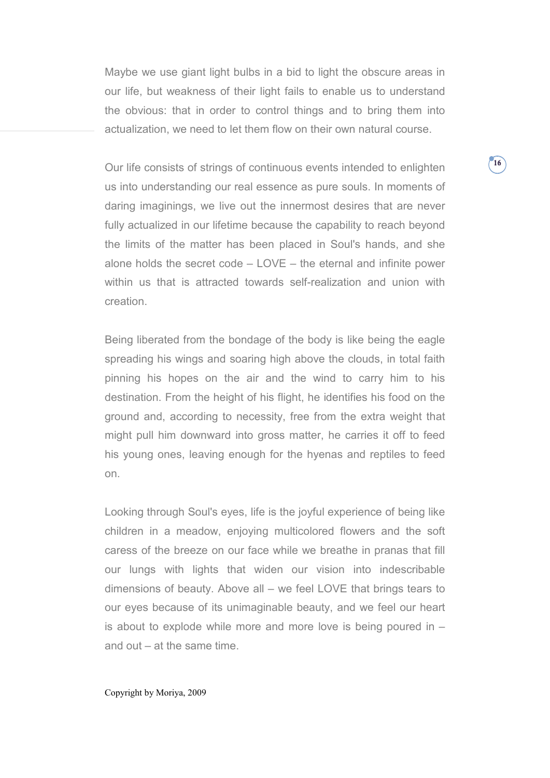Maybe we use giant light bulbs in a bid to light the obscure areas in our life, but weakness of their light fails to enable us to understand the obvious: that in order to control things and to bring them into actualization, we need to let them flow on their own natural course.

Our life consists of strings of continuous events intended to enlighten us into understanding our real essence as pure souls. In moments of daring imaginings, we live out the innermost desires that are never fully actualized in our lifetime because the capability to reach beyond the limits of the matter has been placed in Soul's hands, and she alone holds the secret code – LOVE – the eternal and infinite power within us that is attracted towards self-realization and union with creation.

Being liberated from the bondage of the body is like being the eagle spreading his wings and soaring high above the clouds, in total faith pinning his hopes on the air and the wind to carry him to his destination. From the height of his flight, he identifies his food on the ground and, according to necessity, free from the extra weight that might pull him downward into gross matter, he carries it off to feed his young ones, leaving enough for the hyenas and reptiles to feed on.

Looking through Soul's eyes, life is the joyful experience of being like children in a meadow, enjoying multicolored flowers and the soft caress of the breeze on our face while we breathe in pranas that fill our lungs with lights that widen our vision into indescribable dimensions of beauty. Above all – we feel LOVE that brings tears to our eyes because of its unimaginable beauty, and we feel our heart is about to explode while more and more love is being poured in – and out – at the same time.

#### Copyright by Moriya, 2009